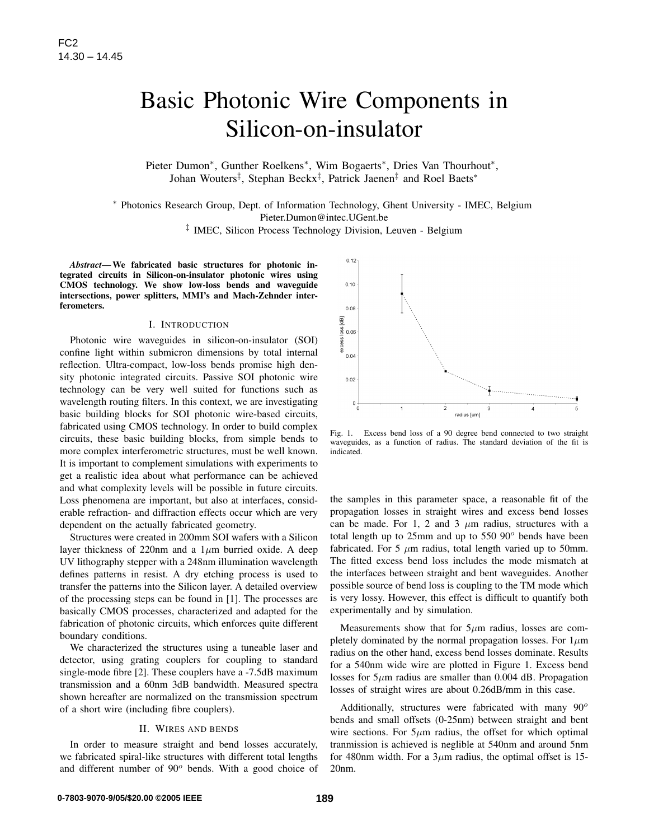# Basic Photonic Wire Components in Silicon-on-insulator

Pieter Dumon\*, Gunther Roelkens<sup>\*</sup>, Wim Bogaerts<sup>\*</sup>, Dries Van Thourhout<sup>\*</sup>, Johan Wouters<sup>‡</sup>, Stephan Beckx<sup>‡</sup>, Patrick Jaenen<sup>‡</sup> and Roel Baets\*

<sup>∗</sup> Photonics Research Group, Dept. of Information Technology, Ghent University - IMEC, Belgium Pieter.Dumon@intec.UGent.be

‡ IMEC, Silicon Process Technology Division, Leuven - Belgium

*Abstract*— We fabricated basic structures for photonic integrated circuits in Silicon-on-insulator photonic wires using CMOS technology. We show low-loss bends and waveguide intersections, power splitters, MMI's and Mach-Zehnder interferometers.

# I. INTRODUCTION

Photonic wire waveguides in silicon-on-insulator (SOI) confine light within submicron dimensions by total internal reflection. Ultra-compact, low-loss bends promise high density photonic integrated circuits. Passive SOI photonic wire technology can be very well suited for functions such as wavelength routing filters. In this context, we are investigating basic building blocks for SOI photonic wire-based circuits, fabricated using CMOS technology. In order to build complex circuits, these basic building blocks, from simple bends to more complex interferometric structures, must be well known. It is important to complement simulations with experiments to get a realistic idea about what performance can be achieved and what complexity levels will be possible in future circuits. Loss phenomena are important, but also at interfaces, considerable refraction- and diffraction effects occur which are very dependent on the actually fabricated geometry. FC2<br>
Basic Photonic Will<br>
Silicon-On-<br>
Feter Dumon". Gunther Rockkens", Window<br>
Feter Dumon". Gunther Rockkens", Window<br>
<sup>2</sup> Photonics Recearch Group, Dept. of Information<br>
<sup>2</sup> Photonics Recearch Group, Dept. of Informatio

Structures were created in 200mm SOI wafers with a Silicon layer thickness of 220nm and a  $1\mu$ m burried oxide. A deep UV lithography stepper with a 248nm illumination wavelength defines patterns in resist. A dry etching process is used to transfer the patterns into the Silicon layer. A detailed overview of the processing steps can be found in [1]. The processes are basically CMOS processes, characterized and adapted for the fabrication of photonic circuits, which enforces quite different boundary conditions.

We characterized the structures using a tuneable laser and detector, using grating couplers for coupling to standard single-mode fibre [2]. These couplers have a -7.5dB maximum transmission and a 60nm 3dB bandwidth. Measured spectra shown hereafter are normalized on the transmission spectrum of a short wire (including fibre couplers).

# II. WIRES AND BENDS

In order to measure straight and bend losses accurately, we fabricated spiral-like structures with different total lengths and different number of  $90^\circ$  bends. With a good choice of



Fig. 1. Excess bend loss of a 90 degree bend connected to two straight waveguides, as a function of radius. The standard deviation of the fit is indicated.

the samples in this parameter space, a reasonable fit of the propagation losses in straight wires and excess bend losses can be made. For 1, 2 and 3  $\mu$ m radius, structures with a total length up to  $25$ mm and up to  $550$   $90^\circ$  bends have been fabricated. For 5  $\mu$ m radius, total length varied up to 50mm. The fitted excess bend loss includes the mode mismatch at the interfaces between straight and bent waveguides. Another possible source of bend loss is coupling to the TM mode which is very lossy. However, this effect is difficult to quantify both experimentally and by simulation.

Measurements show that for  $5\mu$ m radius, losses are completely dominated by the normal propagation losses. For  $1\mu$ m radius on the other hand, excess bend losses dominate. Results for a 540nm wide wire are plotted in Figure 1. Excess bend losses for  $5\mu$ m radius are smaller than 0.004 dB. Propagation losses of straight wires are about 0.26dB/mm in this case.

Additionally, structures were fabricated with many  $90^\circ$ bends and small offsets (0-25nm) between straight and bent wire sections. For  $5\mu$ m radius, the offset for which optimal tranmission is achieved is neglible at 540nm and around 5nm for 480nm width. For a  $3\mu$ m radius, the optimal offset is 15-20nm.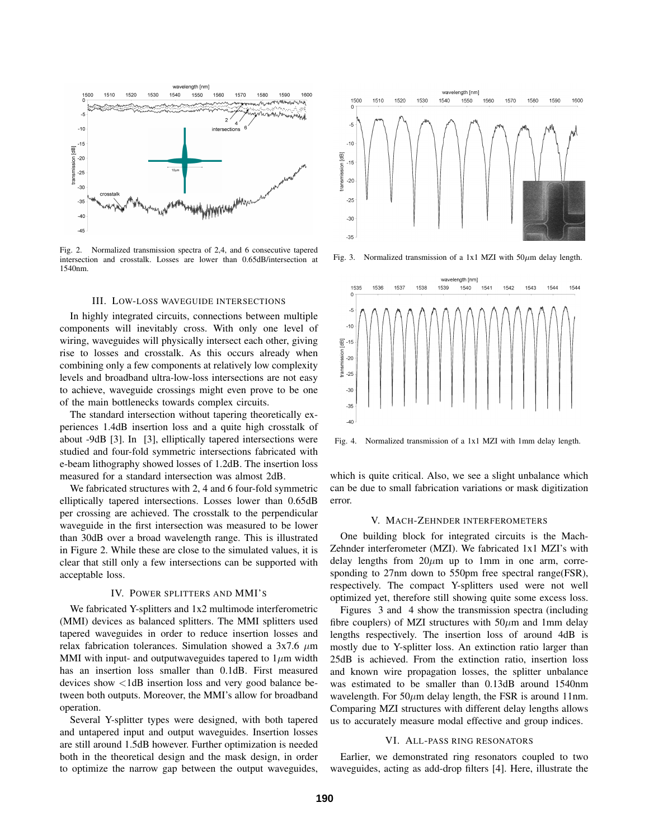

Fig. 2. Normalized transmission spectra of 2,4, and 6 consecutive tapered intersection and crosstalk. Losses are lower than 0.65dB/intersection at 1540nm.

#### III. LOW-LOSS WAVEGUIDE INTERSECTIONS

In highly integrated circuits, connections between multiple components will inevitably cross. With only one level of wiring, waveguides will physically intersect each other, giving rise to losses and crosstalk. As this occurs already when combining only a few components at relatively low complexity levels and broadband ultra-low-loss intersections are not easy to achieve, waveguide crossings might even prove to be one of the main bottlenecks towards complex circuits.

The standard intersection without tapering theoretically experiences 1.4dB insertion loss and a quite high crosstalk of about -9dB [3]. In [3], elliptically tapered intersections were studied and four-fold symmetric intersections fabricated with e-beam lithography showed losses of 1.2dB. The insertion loss measured for a standard intersection was almost 2dB.

We fabricated structures with 2, 4 and 6 four-fold symmetric elliptically tapered intersections. Losses lower than 0.65dB per crossing are achieved. The crosstalk to the perpendicular waveguide in the first intersection was measured to be lower than 30dB over a broad wavelength range. This is illustrated in Figure 2. While these are close to the simulated values, it is clear that still only a few intersections can be supported with acceptable loss.

### IV. POWER SPLITTERS AND MMI'S

We fabricated Y-splitters and 1x2 multimode interferometric (MMI) devices as balanced splitters. The MMI splitters used tapered waveguides in order to reduce insertion losses and relax fabrication tolerances. Simulation showed a  $3x7.6 \mu m$ MMI with input- and outputwaveguides tapered to  $1\mu$ m width has an insertion loss smaller than 0.1dB. First measured devices show <1dB insertion loss and very good balance between both outputs. Moreover, the MMI's allow for broadband operation.

Several Y-splitter types were designed, with both tapered and untapered input and output waveguides. Insertion losses are still around 1.5dB however. Further optimization is needed both in the theoretical design and the mask design, in order to optimize the narrow gap between the output waveguides,



Fig. 3. Normalized transmission of a 1x1 MZI with  $50 \mu m$  delay length.



Fig. 4. Normalized transmission of a 1x1 MZI with 1mm delay length.

which is quite critical. Also, we see a slight unbalance which can be due to small fabrication variations or mask digitization error.

#### V. MACH-ZEHNDER INTERFEROMETERS

One building block for integrated circuits is the Mach-Zehnder interferometer (MZI). We fabricated 1x1 MZI's with delay lengths from  $20\mu m$  up to 1mm in one arm, corresponding to 27nm down to 550pm free spectral range(FSR), respectively. The compact Y-splitters used were not well optimized yet, therefore still showing quite some excess loss.

Figures 3 and 4 show the transmission spectra (including fibre couplers) of MZI structures with  $50 \mu m$  and 1mm delay lengths respectively. The insertion loss of around 4dB is mostly due to Y-splitter loss. An extinction ratio larger than 25dB is achieved. From the extinction ratio, insertion loss and known wire propagation losses, the splitter unbalance was estimated to be smaller than 0.13dB around 1540nm wavelength. For  $50\mu$ m delay length, the FSR is around 11nm. Comparing MZI structures with different delay lengths allows us to accurately measure modal effective and group indices.

# VI. ALL-PASS RING RESONATORS

Earlier, we demonstrated ring resonators coupled to two waveguides, acting as add-drop filters [4]. Here, illustrate the